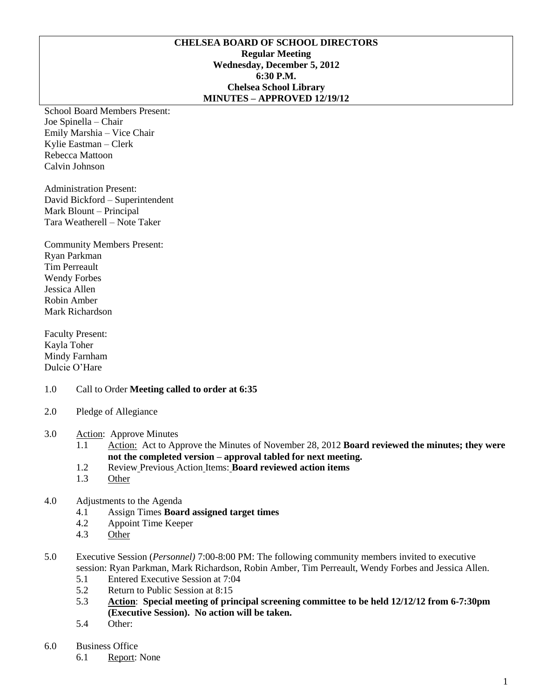### **CHELSEA BOARD OF SCHOOL DIRECTORS Regular Meeting Wednesday, December 5, 2012 6:30 P.M. Chelsea School Library MINUTES – APPROVED 12/19/12**

School Board Members Present: Joe Spinella – Chair Emily Marshia – Vice Chair Kylie Eastman – Clerk Rebecca Mattoon Calvin Johnson

Administration Present: David Bickford – Superintendent Mark Blount – Principal Tara Weatherell – Note Taker

Community Members Present: Ryan Parkman Tim Perreault Wendy Forbes Jessica Allen Robin Amber Mark Richardson

Faculty Present: Kayla Toher Mindy Farnham Dulcie O'Hare

### 1.0 Call to Order **Meeting called to order at 6:35**

- 2.0 Pledge of Allegiance
- 3.0 Action: Approve Minutes
	- 1.1 Action: Act to Approve the Minutes of November 28, 2012 **Board reviewed the minutes; they were not the completed version – approval tabled for next meeting.**
	- 1.2 Review Previous Action Items: **Board reviewed action items**
	- 1.3 Other
- 4.0 Adjustments to the Agenda
	- 4.1 Assign Times **Board assigned target times**
	- 4.2 Appoint Time Keeper
	- 4.3 Other
- 5.0 Executive Session (*Personnel)* 7:00-8:00 PM: The following community members invited to executive session: Ryan Parkman, Mark Richardson, Robin Amber, Tim Perreault, Wendy Forbes and Jessica Allen.
	- 5.1 Entered Executive Session at 7:04
	- 5.2 Return to Public Session at 8:15
	- 5.3 **Action**: **Special meeting of principal screening committee to be held 12/12/12 from 6-7:30pm (Executive Session). No action will be taken.**
	- 5.4 Other:
- 6.0 Business Office
	- 6.1 Report: None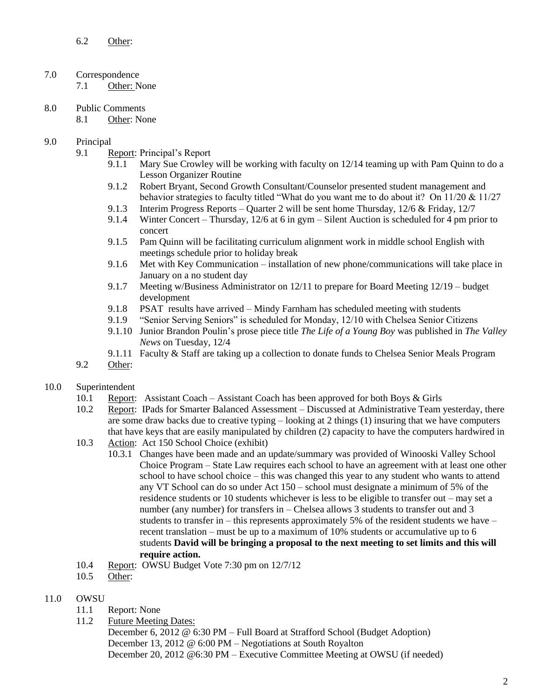## 7.0 Correspondence

7.1 Other: None

- 8.0 Public Comments
	- 8.1 Other: None

## 9.0 Principal

- 9.1 Report: Principal's Report
	- 9.1.1 Mary Sue Crowley will be working with faculty on 12/14 teaming up with Pam Quinn to do a Lesson Organizer Routine
	- 9.1.2 Robert Bryant, Second Growth Consultant/Counselor presented student management and behavior strategies to faculty titled "What do you want me to do about it? On 11/20 & 11/27
	- 9.1.3 Interim Progress Reports Quarter 2 will be sent home Thursday, 12/6 & Friday, 12/7
	- 9.1.4 Winter Concert Thursday, 12/6 at 6 in gym Silent Auction is scheduled for 4 pm prior to concert
	- 9.1.5 Pam Quinn will be facilitating curriculum alignment work in middle school English with meetings schedule prior to holiday break
	- 9.1.6 Met with Key Communication installation of new phone/communications will take place in January on a no student day
	- 9.1.7 Meeting w/Business Administrator on 12/11 to prepare for Board Meeting 12/19 budget development
	- 9.1.8 PSAT results have arrived Mindy Farnham has scheduled meeting with students
	- 9.1.9 "Senior Serving Seniors" is scheduled for Monday, 12/10 with Chelsea Senior Citizens
	- 9.1.10 Junior Brandon Poulin's prose piece title *The Life of a Young Boy* was published in *The Valley News* on Tuesday, 12/4
	- 9.1.11 Faculty & Staff are taking up a collection to donate funds to Chelsea Senior Meals Program
- 9.2 Other:

## 10.0 Superintendent

- 10.1 Report: Assistant Coach Assistant Coach has been approved for both Boys & Girls
- 10.2 Report: IPads for Smarter Balanced Assessment Discussed at Administrative Team yesterday, there are some draw backs due to creative typing – looking at 2 things (1) insuring that we have computers that have keys that are easily manipulated by children (2) capacity to have the computers hardwired in
- 10.3 Action: Act 150 School Choice (exhibit)
	- 10.3.1 Changes have been made and an update/summary was provided of Winooski Valley School Choice Program – State Law requires each school to have an agreement with at least one other school to have school choice – this was changed this year to any student who wants to attend any VT School can do so under Act 150 – school must designate a minimum of 5% of the residence students or 10 students whichever is less to be eligible to transfer out – may set a number (any number) for transfers in – Chelsea allows 3 students to transfer out and 3 students to transfer in – this represents approximately 5% of the resident students we have – recent translation – must be up to a maximum of 10% students or accumulative up to 6 students **David will be bringing a proposal to the next meeting to set limits and this will require action.**
- 10.4 Report: OWSU Budget Vote 7:30 pm on 12/7/12
- 10.5 Other:

# 11.0 OWSU

- 11.1 Report: None
- 11.2 Future Meeting Dates:

December 6, 2012 @ 6:30 PM – Full Board at Strafford School (Budget Adoption) December 13, 2012 @ 6:00 PM – Negotiations at South Royalton December 20, 2012 @6:30 PM – Executive Committee Meeting at OWSU (if needed)